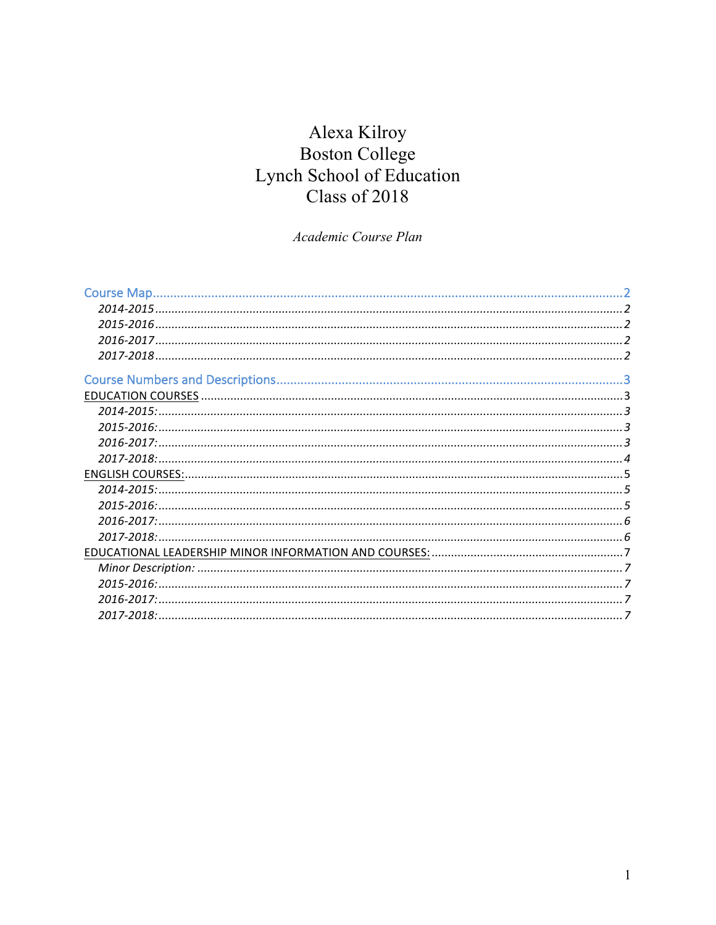# Alexa Kilroy Boston College Lynch School of Education<br>Class of 2018

Academic Course Plan

| Course Map.   |  |
|---------------|--|
|               |  |
| 2015-2016.    |  |
|               |  |
|               |  |
|               |  |
|               |  |
|               |  |
| 2015-2016:    |  |
| $2016 - 2017$ |  |
| 2017-2018:    |  |
|               |  |
| 2014-2015:    |  |
| $2015 - 2016$ |  |
|               |  |
|               |  |
|               |  |
|               |  |
|               |  |
| 2016-2017:    |  |
|               |  |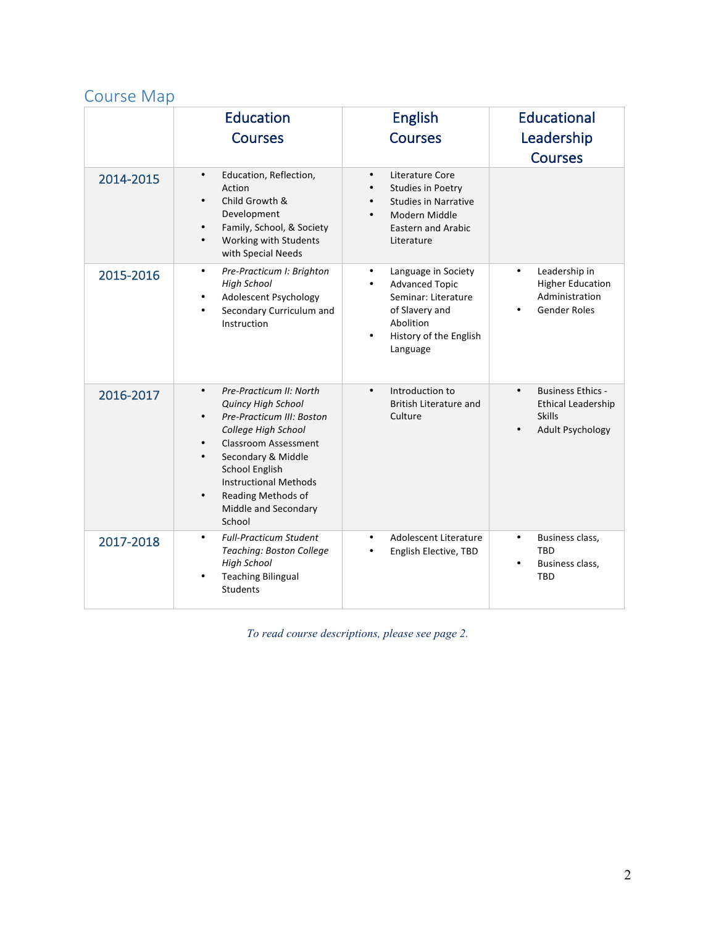# Course Map

|           | <b>Education</b><br><b>Courses</b>                                                                                                                                                                                                                                                                                                 | <b>English</b><br><b>Courses</b>                                                                                                                                   | <b>Educational</b><br>Leadership<br><b>Courses</b>                                                             |
|-----------|------------------------------------------------------------------------------------------------------------------------------------------------------------------------------------------------------------------------------------------------------------------------------------------------------------------------------------|--------------------------------------------------------------------------------------------------------------------------------------------------------------------|----------------------------------------------------------------------------------------------------------------|
| 2014-2015 | Education, Reflection,<br>$\bullet$<br>Action<br>Child Growth &<br>$\bullet$<br>Development<br>Family, School, & Society<br>$\bullet$<br>Working with Students<br>$\bullet$<br>with Special Needs                                                                                                                                  | Literature Core<br>$\bullet$<br><b>Studies in Poetry</b><br><b>Studies in Narrative</b><br>Modern Middle<br><b>Eastern and Arabic</b><br>Literature                |                                                                                                                |
| 2015-2016 | Pre-Practicum I: Brighton<br>$\bullet$<br><b>High School</b><br>Adolescent Psychology<br>$\bullet$<br>Secondary Curriculum and<br>$\bullet$<br>Instruction                                                                                                                                                                         | Language in Society<br>$\bullet$<br><b>Advanced Topic</b><br>$\bullet$<br>Seminar: Literature<br>of Slavery and<br>Abolition<br>History of the English<br>Language | Leadership in<br>$\bullet$<br><b>Higher Education</b><br>Administration<br><b>Gender Roles</b>                 |
| 2016-2017 | Pre-Practicum II: North<br>$\bullet$<br><b>Quincy High School</b><br>Pre-Practicum III: Boston<br>$\bullet$<br>College High School<br><b>Classroom Assessment</b><br>Secondary & Middle<br>$\bullet$<br><b>School English</b><br><b>Instructional Methods</b><br>Reading Methods of<br>$\bullet$<br>Middle and Secondary<br>School | Introduction to<br>$\bullet$<br><b>British Literature and</b><br>Culture                                                                                           | <b>Business Ethics -</b><br>$\bullet$<br><b>Ethical Leadership</b><br><b>Skills</b><br><b>Adult Psychology</b> |
| 2017-2018 | <b>Full-Practicum Student</b><br>$\bullet$<br>Teaching: Boston College<br><b>High School</b><br><b>Teaching Bilingual</b><br>$\bullet$<br><b>Students</b>                                                                                                                                                                          | Adolescent Literature<br>$\bullet$<br>English Elective, TBD                                                                                                        | Business class,<br>$\bullet$<br><b>TBD</b><br>Business class,<br><b>TBD</b>                                    |

*To read course descriptions, please see page 2.*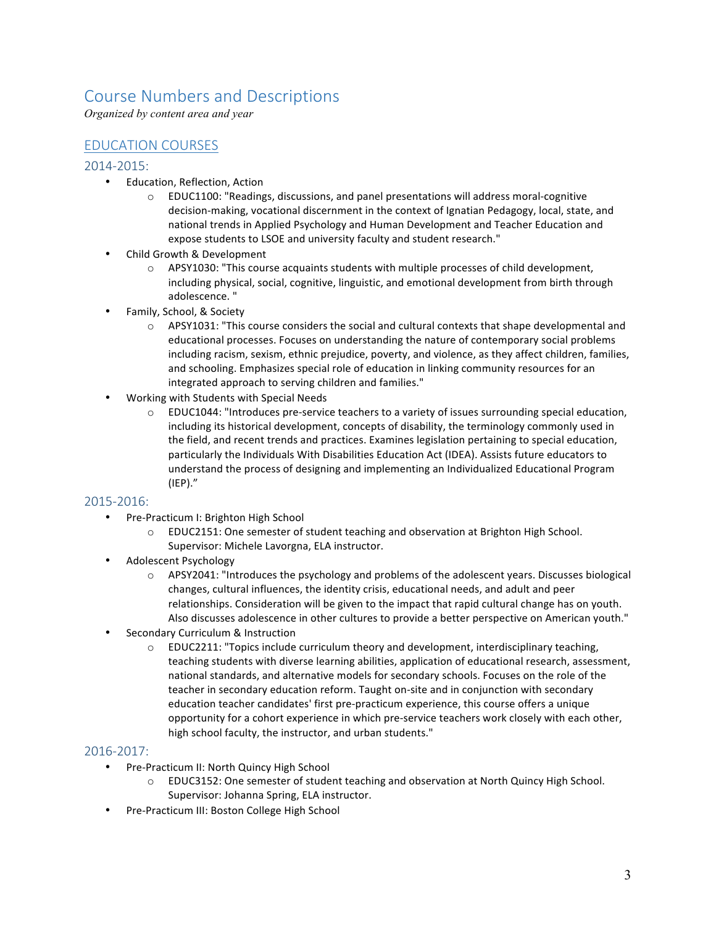# Course Numbers and Descriptions

*Organized by content area and year*

# **EDUCATION COURSES**

#### 2014-2015:

- Education, Reflection, Action
	- $\circ$  EDUC1100: "Readings, discussions, and panel presentations will address moral-cognitive decision-making, vocational discernment in the context of Ignatian Pedagogy, local, state, and national trends in Applied Psychology and Human Development and Teacher Education and expose students to LSOE and university faculty and student research."
- Child Growth & Development
	- $\circ$  APSY1030: "This course acquaints students with multiple processes of child development, including physical, social, cognitive, linguistic, and emotional development from birth through adolescence. "
- Family, School, & Society
	- $\circ$  APSY1031: "This course considers the social and cultural contexts that shape developmental and educational processes. Focuses on understanding the nature of contemporary social problems including racism, sexism, ethnic prejudice, poverty, and violence, as they affect children, families, and schooling. Emphasizes special role of education in linking community resources for an integrated approach to serving children and families."
- Working with Students with Special Needs
	- $\circ$  EDUC1044: "Introduces pre-service teachers to a variety of issues surrounding special education, including its historical development, concepts of disability, the terminology commonly used in the field, and recent trends and practices. Examines legislation pertaining to special education, particularly the Individuals With Disabilities Education Act (IDEA). Assists future educators to understand the process of designing and implementing an Individualized Educational Program (IEP)."

#### 2015-2016:

- Pre-Practicum I: Brighton High School
	- $\circ$  EDUC2151: One semester of student teaching and observation at Brighton High School. Supervisor: Michele Lavorgna, ELA instructor.
- Adolescent Psychology
	- $\circ$  APSY2041: "Introduces the psychology and problems of the adolescent years. Discusses biological changes, cultural influences, the identity crisis, educational needs, and adult and peer relationships. Consideration will be given to the impact that rapid cultural change has on youth. Also discusses adolescence in other cultures to provide a better perspective on American youth."
- Secondary Curriculum & Instruction
	- $\circ$  EDUC2211: "Topics include curriculum theory and development, interdisciplinary teaching, teaching students with diverse learning abilities, application of educational research, assessment, national standards, and alternative models for secondary schools. Focuses on the role of the teacher in secondary education reform. Taught on-site and in conjunction with secondary education teacher candidates' first pre-practicum experience, this course offers a unique opportunity for a cohort experience in which pre-service teachers work closely with each other, high school faculty, the instructor, and urban students."

#### 2016-2017:

- Pre-Practicum II: North Quincy High School
	- $\circ$  EDUC3152: One semester of student teaching and observation at North Quincy High School. Supervisor: Johanna Spring, ELA instructor.
- Pre-Practicum III: Boston College High School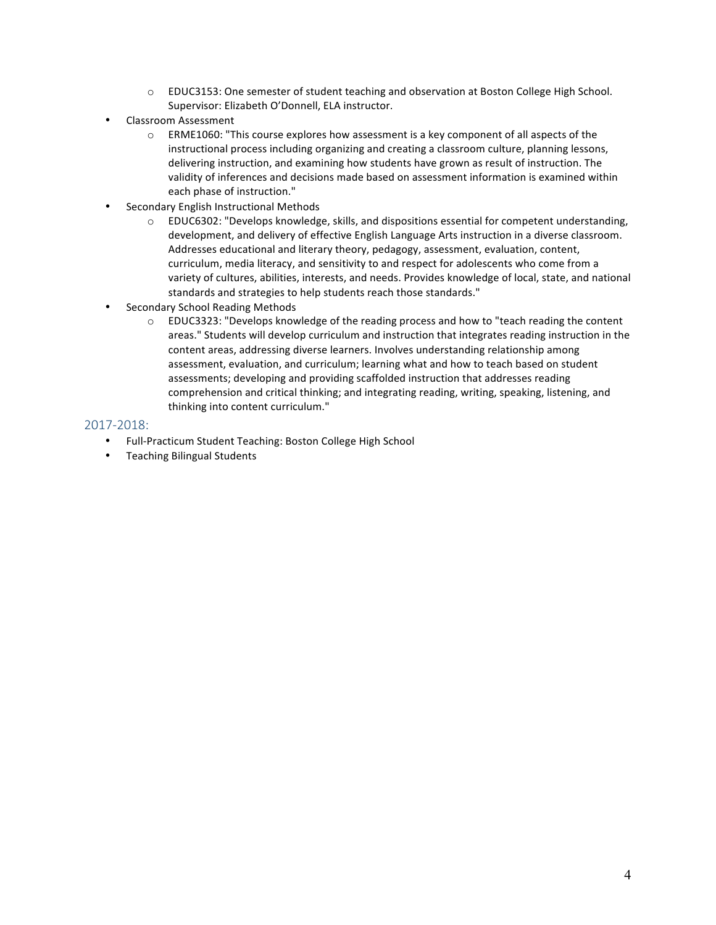- $\circ$  EDUC3153: One semester of student teaching and observation at Boston College High School. Supervisor: Elizabeth O'Donnell, ELA instructor.
- Classroom Assessment
	- $\circ$  ERME1060: "This course explores how assessment is a key component of all aspects of the instructional process including organizing and creating a classroom culture, planning lessons, delivering instruction, and examining how students have grown as result of instruction. The validity of inferences and decisions made based on assessment information is examined within each phase of instruction."
- Secondary English Instructional Methods
	- $\circ$  EDUC6302: "Develops knowledge, skills, and dispositions essential for competent understanding, development, and delivery of effective English Language Arts instruction in a diverse classroom. Addresses educational and literary theory, pedagogy, assessment, evaluation, content, curriculum, media literacy, and sensitivity to and respect for adolescents who come from a variety of cultures, abilities, interests, and needs. Provides knowledge of local, state, and national standards and strategies to help students reach those standards."
- Secondary School Reading Methods
	- $\circ$  EDUC3323: "Develops knowledge of the reading process and how to "teach reading the content areas." Students will develop curriculum and instruction that integrates reading instruction in the content areas, addressing diverse learners. Involves understanding relationship among assessment, evaluation, and curriculum; learning what and how to teach based on student assessments; developing and providing scaffolded instruction that addresses reading comprehension and critical thinking; and integrating reading, writing, speaking, listening, and thinking into content curriculum."

#### 2017-2018:

- Full-Practicum Student Teaching: Boston College High School
- Teaching Bilingual Students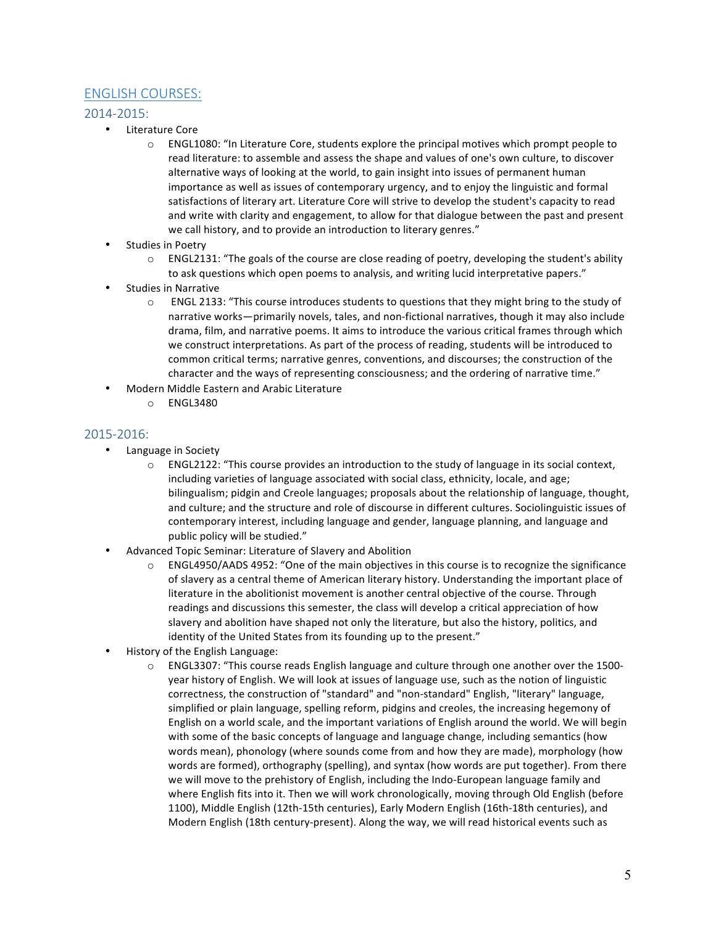# **ENGLISH COURSES:**

## 2014-2015:

- Literature Core
	- $\circ$  ENGL1080: "In Literature Core, students explore the principal motives which prompt people to read literature: to assemble and assess the shape and values of one's own culture, to discover alternative ways of looking at the world, to gain insight into issues of permanent human importance as well as issues of contemporary urgency, and to enjoy the linguistic and formal satisfactions of literary art. Literature Core will strive to develop the student's capacity to read and write with clarity and engagement, to allow for that dialogue between the past and present we call history, and to provide an introduction to literary genres."
- Studies in Poetry
	- $\circ$  ENGL2131: "The goals of the course are close reading of poetry, developing the student's ability to ask questions which open poems to analysis, and writing lucid interpretative papers."
- Studies in Narrative
	- $\circ$  ENGL 2133: "This course introduces students to questions that they might bring to the study of narrative works—primarily novels, tales, and non-fictional narratives, though it may also include drama, film, and narrative poems. It aims to introduce the various critical frames through which we construct interpretations. As part of the process of reading, students will be introduced to common critical terms; narrative genres, conventions, and discourses; the construction of the character and the ways of representing consciousness; and the ordering of narrative time."
- Modern Middle Eastern and Arabic Literature
	- $O$  FNGL3480

### 2015-2016:

- Language in Society
	- $\circ$  ENGL2122: "This course provides an introduction to the study of language in its social context, including varieties of language associated with social class, ethnicity, locale, and age; bilingualism; pidgin and Creole languages; proposals about the relationship of language, thought, and culture; and the structure and role of discourse in different cultures. Sociolinguistic issues of contemporary interest, including language and gender, language planning, and language and public policy will be studied."
- Advanced Topic Seminar: Literature of Slavery and Abolition
	- $\circ$  ENGL4950/AADS 4952: "One of the main objectives in this course is to recognize the significance of slavery as a central theme of American literary history. Understanding the important place of literature in the abolitionist movement is another central objective of the course. Through readings and discussions this semester, the class will develop a critical appreciation of how slavery and abolition have shaped not only the literature, but also the history, politics, and identity of the United States from its founding up to the present."
- History of the English Language:
	- $\circ$  ENGL3307: "This course reads English language and culture through one another over the 1500year history of English. We will look at issues of language use, such as the notion of linguistic correctness, the construction of "standard" and "non-standard" English, "literary" language, simplified or plain language, spelling reform, pidgins and creoles, the increasing hegemony of English on a world scale, and the important variations of English around the world. We will begin with some of the basic concepts of language and language change, including semantics (how words mean), phonology (where sounds come from and how they are made), morphology (how words are formed), orthography (spelling), and syntax (how words are put together). From there we will move to the prehistory of English, including the Indo-European language family and where English fits into it. Then we will work chronologically, moving through Old English (before 1100), Middle English (12th-15th centuries), Early Modern English (16th-18th centuries), and Modern English (18th century-present). Along the way, we will read historical events such as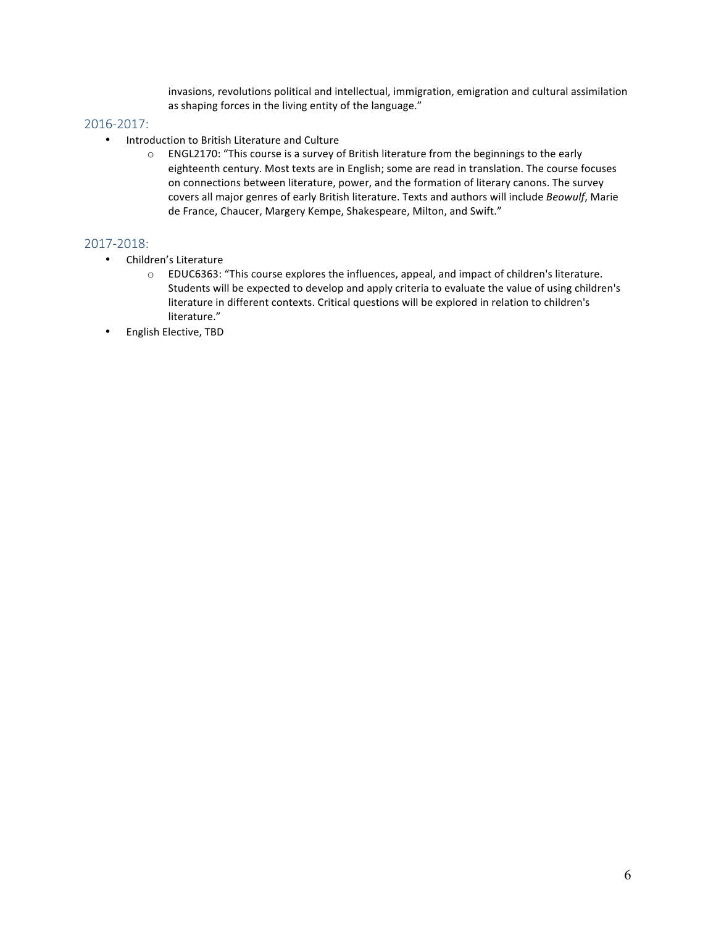invasions, revolutions political and intellectual, immigration, emigration and cultural assimilation as shaping forces in the living entity of the language."

### 2016-2017:

- Introduction to British Literature and Culture
	- $\circ$  ENGL2170: "This course is a survey of British literature from the beginnings to the early eighteenth century. Most texts are in English; some are read in translation. The course focuses on connections between literature, power, and the formation of literary canons. The survey covers all major genres of early British literature. Texts and authors will include *Beowulf*, Marie de France, Chaucer, Margery Kempe, Shakespeare, Milton, and Swift."

### 2017-2018:

- Children's Literature
	- $\circ$  EDUC6363: "This course explores the influences, appeal, and impact of children's literature. Students will be expected to develop and apply criteria to evaluate the value of using children's literature in different contexts. Critical questions will be explored in relation to children's literature."
- English Elective, TBD